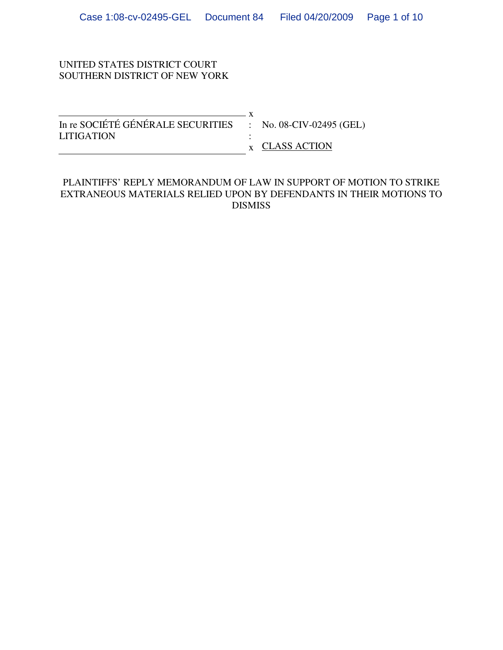### UNITED STATES DISTRICT COURT SOUTHERN DISTRICT OF NEW YORK

 $\overline{\phantom{1}}$  x In re SOCIÉTÉ GÉNÉRALE SECURITIES : No. 08-CIV-02495 (GEL) LITIGATION : x CLASS ACTION

#### PLAINTIFFS' REPLY MEMORANDUM OF LAW IN SUPPORT OF MOTION TO STRIKE EXTRANEOUS MATERIALS RELIED UPON BY DEFENDANTS IN THEIR MOTIONS TO DISMISS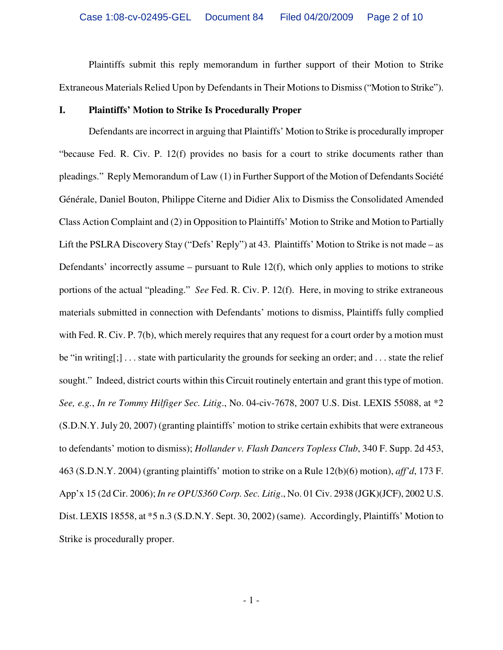Plaintiffs submit this reply memorandum in further support of their Motion to Strike Extraneous Materials Relied Upon by Defendants in Their Motions to Dismiss ("Motion to Strike").

#### **I. Plaintiffs' Motion to Strike Is Procedurally Proper**

Defendants are incorrect in arguing that Plaintiffs' Motion to Strike is procedurally improper "because Fed. R. Civ. P. 12(f) provides no basis for a court to strike documents rather than pleadings." Reply Memorandum of Law (1) in Further Support of the Motion of Defendants Société Générale, Daniel Bouton, Philippe Citerne and Didier Alix to Dismiss the Consolidated Amended Class Action Complaint and (2) in Opposition to Plaintiffs' Motion to Strike and Motion to Partially Lift the PSLRA Discovery Stay ("Defs' Reply") at 43. Plaintiffs' Motion to Strike is not made – as Defendants' incorrectly assume – pursuant to Rule 12(f), which only applies to motions to strike portions of the actual "pleading." *See* Fed. R. Civ. P. 12(f). Here, in moving to strike extraneous materials submitted in connection with Defendants' motions to dismiss, Plaintiffs fully complied with Fed. R. Civ. P. 7(b), which merely requires that any request for a court order by a motion must be "in writing[;] . . . state with particularity the grounds for seeking an order; and . . . state the relief sought." Indeed, district courts within this Circuit routinely entertain and grant this type of motion. *See, e.g.*, *In re Tommy Hilfiger Sec. Litig*., No. 04-civ-7678, 2007 U.S. Dist. LEXIS 55088, at \*2 (S.D.N.Y. July 20, 2007) (granting plaintiffs' motion to strike certain exhibits that were extraneous to defendants' motion to dismiss); *Hollander v. Flash Dancers Topless Club*, 340 F. Supp. 2d 453, 463 (S.D.N.Y. 2004) (granting plaintiffs' motion to strike on a Rule 12(b)(6) motion), *aff'd*, 173 F. App'x 15 (2d Cir. 2006); *In re OPUS360 Corp. Sec. Litig*., No. 01 Civ. 2938 (JGK)(JCF), 2002 U.S. Dist. LEXIS 18558, at \*5 n.3 (S.D.N.Y. Sept. 30, 2002) (same). Accordingly, Plaintiffs' Motion to Strike is procedurally proper.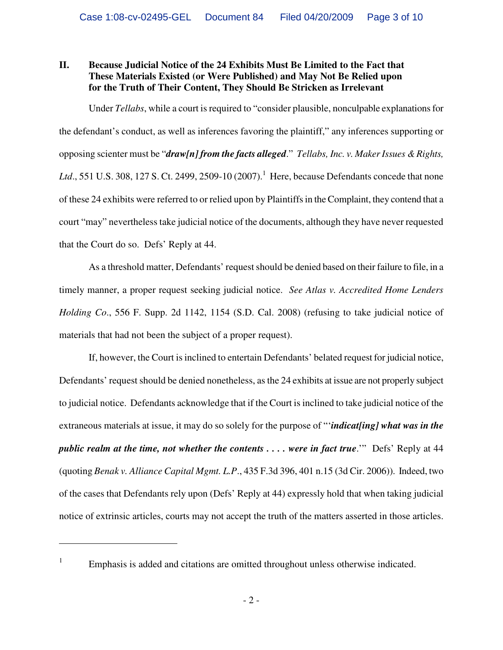## **II. Because Judicial Notice of the 24 Exhibits Must Be Limited to the Fact that These Materials Existed (or Were Published) and May Not Be Relied upon for the Truth of Their Content, They Should Be Stricken as Irrelevant**

Under *Tellabs*, while a court is required to "consider plausible, nonculpable explanations for the defendant's conduct, as well as inferences favoring the plaintiff," any inferences supporting or opposing scienter must be "*draw[n] from the facts alleged*." *Tellabs, Inc. v. Maker Issues & Rights,*  Ltd., 551 U.S. 308, 127 S. Ct. 2499, 2509-10 (2007).<sup>1</sup> Here, because Defendants concede that none of these 24 exhibits were referred to or relied upon by Plaintiffs in the Complaint, they contend that a court "may" nevertheless take judicial notice of the documents, although they have never requested that the Court do so. Defs' Reply at 44.

As a threshold matter, Defendants' request should be denied based on their failure to file, in a timely manner, a proper request seeking judicial notice. *See Atlas v. Accredited Home Lenders Holding Co*., 556 F. Supp. 2d 1142, 1154 (S.D. Cal. 2008) (refusing to take judicial notice of materials that had not been the subject of a proper request).

If, however, the Court is inclined to entertain Defendants' belated request for judicial notice, Defendants' request should be denied nonetheless, as the 24 exhibits at issue are not properly subject to judicial notice. Defendants acknowledge that if the Court is inclined to take judicial notice of the extraneous materials at issue, it may do so solely for the purpose of "'*indicat[ing] what was in the public realm at the time, not whether the contents .... were in fact true.*" Defs' Reply at 44 (quoting *Benak v. Alliance Capital Mgmt. L.P*., 435 F.3d 396, 401 n.15 (3d Cir. 2006)). Indeed, two of the cases that Defendants rely upon (Defs' Reply at 44) expressly hold that when taking judicial notice of extrinsic articles, courts may not accept the truth of the matters asserted in those articles.

1

<sup>1</sup> Emphasis is added and citations are omitted throughout unless otherwise indicated.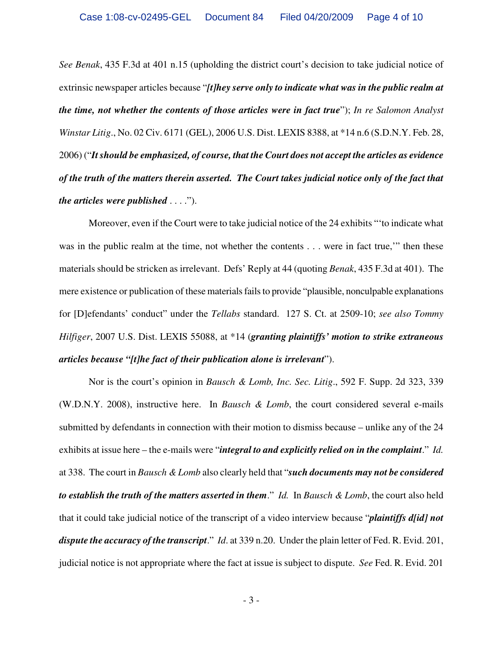*See Benak*, 435 F.3d at 401 n.15 (upholding the district court's decision to take judicial notice of extrinsic newspaper articles because "*[t]hey serve only to indicate what was in the public realm at the time, not whether the contents of those articles were in fact true*"); *In re Salomon Analyst Winstar Litig*., No. 02 Civ. 6171 (GEL), 2006 U.S. Dist. LEXIS 8388, at \*14 n.6 (S.D.N.Y. Feb. 28, 2006) ("*It should be emphasized, of course, that the Court does not accept the articles as evidence of the truth of the matters therein asserted. The Court takes judicial notice only of the fact that the articles were published* . . . .").

Moreover, even if the Court were to take judicial notice of the 24 exhibits "'to indicate what was in the public realm at the time, not whether the contents . . . were in fact true," then these materials should be stricken as irrelevant. Defs' Reply at 44 (quoting *Benak*, 435 F.3d at 401). The mere existence or publication of these materials fails to provide "plausible, nonculpable explanations for [D]efendants' conduct" under the *Tellabs* standard. 127 S. Ct. at 2509-10; *see also Tommy Hilfiger*, 2007 U.S. Dist. LEXIS 55088, at \*14 (*granting plaintiffs' motion to strike extraneous articles because "[t]he fact of their publication alone is irrelevant*").

Nor is the court's opinion in *Bausch & Lomb, Inc. Sec. Litig*., 592 F. Supp. 2d 323, 339 (W.D.N.Y. 2008), instructive here. In *Bausch & Lomb*, the court considered several e-mails submitted by defendants in connection with their motion to dismiss because – unlike any of the 24 exhibits at issue here – the e-mails were "*integral to and explicitly relied on in the complaint*." *Id.* at 338. The court in *Bausch & Lomb* also clearly held that "*such documents may not be considered to establish the truth of the matters asserted in them*." *Id.* In *Bausch & Lomb*, the court also held that it could take judicial notice of the transcript of a video interview because "*plaintiffs d[id] not dispute the accuracy of the transcript*." *Id*. at 339 n.20. Under the plain letter of Fed. R. Evid. 201, judicial notice is not appropriate where the fact at issue is subject to dispute. *See* Fed. R. Evid. 201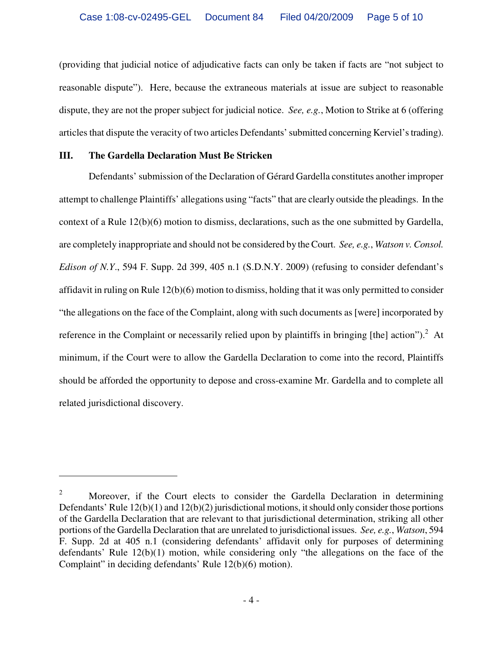(providing that judicial notice of adjudicative facts can only be taken if facts are "not subject to reasonable dispute"). Here, because the extraneous materials at issue are subject to reasonable dispute, they are not the proper subject for judicial notice. *See, e.g.*, Motion to Strike at 6 (offering articles that dispute the veracity of two articles Defendants' submitted concerning Kerviel's trading).

#### **III. The Gardella Declaration Must Be Stricken**

 $\overline{a}$ 

Defendants' submission of the Declaration of Gérard Gardella constitutes another improper attempt to challenge Plaintiffs' allegations using "facts" that are clearly outside the pleadings. In the context of a Rule 12(b)(6) motion to dismiss, declarations, such as the one submitted by Gardella, are completely inappropriate and should not be considered by the Court. *See, e.g.*, *Watson v. Consol. Edison of N.Y*., 594 F. Supp. 2d 399, 405 n.1 (S.D.N.Y. 2009) (refusing to consider defendant's affidavit in ruling on Rule 12(b)(6) motion to dismiss, holding that it was only permitted to consider "the allegations on the face of the Complaint, along with such documents as [were] incorporated by reference in the Complaint or necessarily relied upon by plaintiffs in bringing [the] action").  $2$  At minimum, if the Court were to allow the Gardella Declaration to come into the record, Plaintiffs should be afforded the opportunity to depose and cross-examine Mr. Gardella and to complete all related jurisdictional discovery.

<sup>2</sup> Moreover, if the Court elects to consider the Gardella Declaration in determining Defendants' Rule  $12(b)(1)$  and  $12(b)(2)$  jurisdictional motions, it should only consider those portions of the Gardella Declaration that are relevant to that jurisdictional determination, striking all other portions of the Gardella Declaration that are unrelated to jurisdictional issues. *See, e.g.*, *Watson*, 594 F. Supp. 2d at 405 n.1 (considering defendants' affidavit only for purposes of determining defendants' Rule 12(b)(1) motion, while considering only "the allegations on the face of the Complaint" in deciding defendants' Rule 12(b)(6) motion).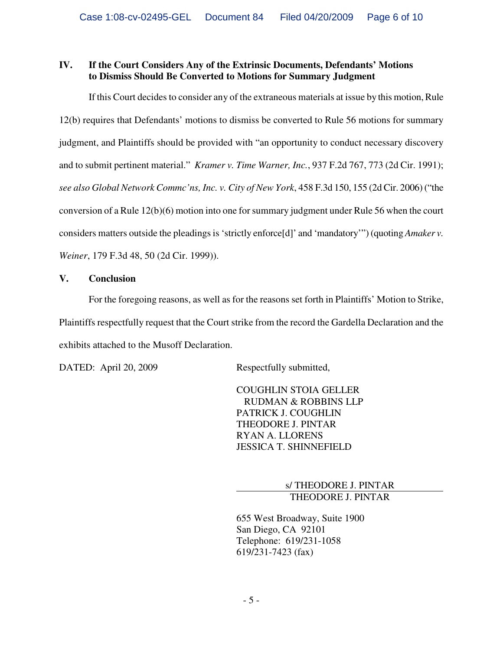## **IV. If the Court Considers Any of the Extrinsic Documents, Defendants' Motions to Dismiss Should Be Converted to Motions for Summary Judgment**

If this Court decides to consider any of the extraneous materials at issue by this motion, Rule 12(b) requires that Defendants' motions to dismiss be converted to Rule 56 motions for summary judgment, and Plaintiffs should be provided with "an opportunity to conduct necessary discovery and to submit pertinent material." *Kramer v. Time Warner, Inc.*, 937 F.2d 767, 773 (2d Cir. 1991); *see also Global Network Commc'ns, Inc. v. City of New York*, 458 F.3d 150, 155 (2d Cir. 2006) ("the conversion of a Rule 12(b)(6) motion into one for summary judgment under Rule 56 when the court considers matters outside the pleadings is 'strictly enforce[d]' and 'mandatory'") (quoting *Amaker v. Weiner*, 179 F.3d 48, 50 (2d Cir. 1999)).

## **V. Conclusion**

For the foregoing reasons, as well as for the reasons set forth in Plaintiffs' Motion to Strike, Plaintiffs respectfully request that the Court strike from the record the Gardella Declaration and the exhibits attached to the Musoff Declaration.

DATED: April 20, 2009 Respectfully submitted,

COUGHLIN STOIA GELLER RUDMAN & ROBBINS LLP PATRICK J. COUGHLIN THEODORE J. PINTAR RYAN A. LLORENS JESSICA T. SHINNEFIELD

> s/ THEODORE J. PINTAR THEODORE J. PINTAR

655 West Broadway, Suite 1900 San Diego, CA 92101 Telephone: 619/231-1058 619/231-7423 (fax)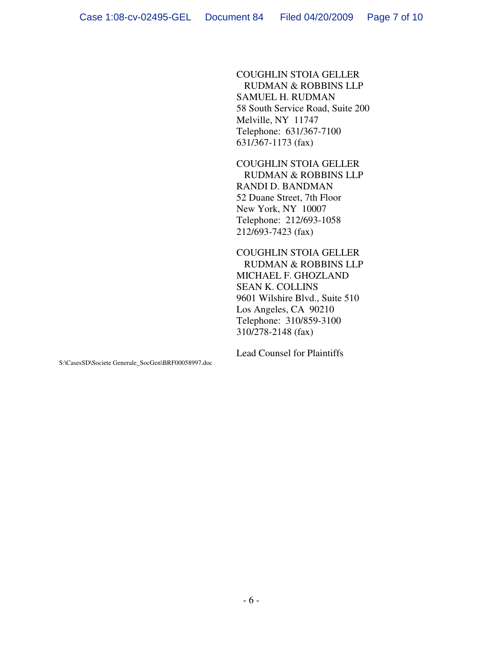COUGHLIN STOIA GELLER RUDMAN & ROBBINS LLP SAMUEL H. RUDMAN 58 South Service Road, Suite 200 Melville, NY 11747 Telephone: 631/367-7100 631/367-1173 (fax)

COUGHLIN STOIA GELLER RUDMAN & ROBBINS LLP RANDI D. BANDMAN 52 Duane Street, 7th Floor New York, NY 10007 Telephone: 212/693-1058 212/693-7423 (fax)

COUGHLIN STOIA GELLER RUDMAN & ROBBINS LLP MICHAEL F. GHOZLAND SEAN K. COLLINS 9601 Wilshire Blvd., Suite 510 Los Angeles, CA 90210 Telephone: 310/859-3100 310/278-2148 (fax)

Lead Counsel for Plaintiffs

S:\CasesSD\Societe Generale\_SocGen\BRF00058997.doc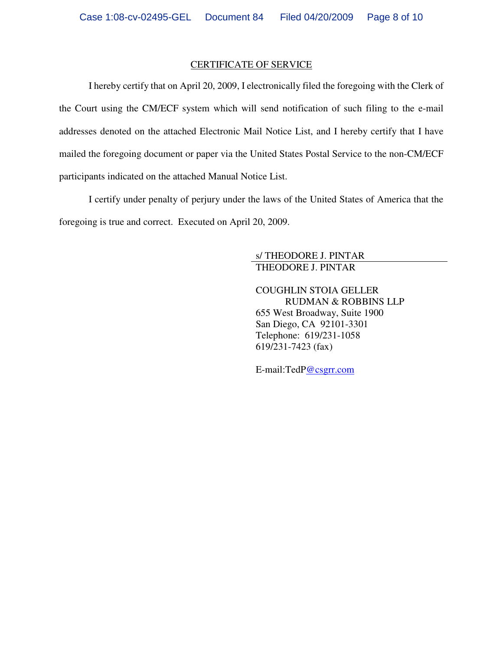#### CERTIFICATE OF SERVICE

I hereby certify that on April 20, 2009, I electronically filed the foregoing with the Clerk of the Court using the CM/ECF system which will send notification of such filing to the e-mail addresses denoted on the attached Electronic Mail Notice List, and I hereby certify that I have mailed the foregoing document or paper via the United States Postal Service to the non-CM/ECF participants indicated on the attached Manual Notice List.

I certify under penalty of perjury under the laws of the United States of America that the foregoing is true and correct. Executed on April 20, 2009.

#### s/ THEODORE J. PINTAR THEODORE J. PINTAR

COUGHLIN STOIA GELLER RUDMAN & ROBBINS LLP 655 West Broadway, Suite 1900 San Diego, CA 92101-3301 Telephone: 619/231-1058 619/231-7423 (fax)

E-mail:TedP@csgrr.com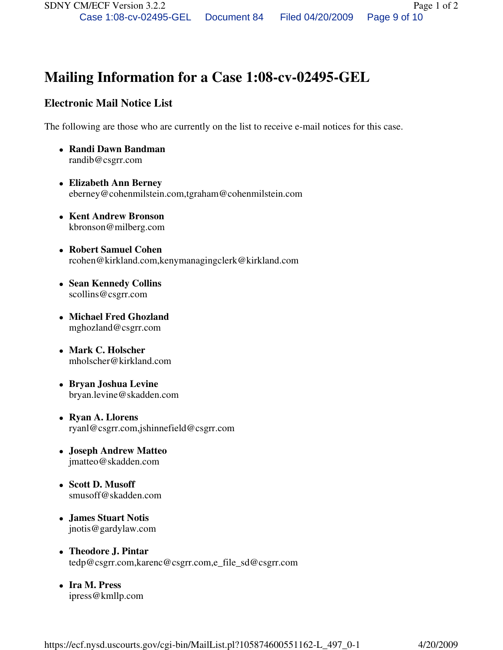# **Mailing Information for a Case 1:08-cv-02495-GEL**

## **Electronic Mail Notice List**

The following are those who are currently on the list to receive e-mail notices for this case.

- **Randi Dawn Bandman**  randib@csgrr.com
- **Elizabeth Ann Berney**  eberney@cohenmilstein.com,tgraham@cohenmilstein.com
- **Kent Andrew Bronson**  kbronson@milberg.com
- **Robert Samuel Cohen**  rcohen@kirkland.com,kenymanagingclerk@kirkland.com
- **Sean Kennedy Collins**  scollins@csgrr.com
- **Michael Fred Ghozland**  mghozland@csgrr.com
- **Mark C. Holscher**  mholscher@kirkland.com
- **Bryan Joshua Levine**  bryan.levine@skadden.com
- **Ryan A. Llorens**  ryanl@csgrr.com,jshinnefield@csgrr.com
- **Joseph Andrew Matteo**  jmatteo@skadden.com
- **Scott D. Musoff**  smusoff@skadden.com
- **James Stuart Notis**  jnotis@gardylaw.com
- **Theodore J. Pintar**  tedp@csgrr.com,karenc@csgrr.com,e\_file\_sd@csgrr.com
- **Ira M. Press**  ipress@kmllp.com